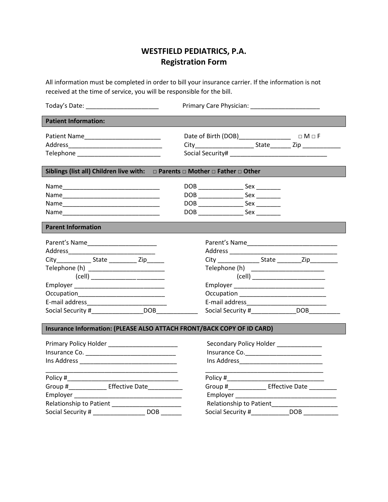## **WESTFIELD PEDIATRICS, P.A. Registration Form**

All information must be completed in order to bill your insurance carrier. If the information is not received at the time of service, you will be responsible for the bill.

| <b>Patient Information:</b>                                                                                                                  |                                                                                                                                                           |  |
|----------------------------------------------------------------------------------------------------------------------------------------------|-----------------------------------------------------------------------------------------------------------------------------------------------------------|--|
| Telephone _____________________________                                                                                                      |                                                                                                                                                           |  |
| Siblings (list all) Children live with: $\Box$ Parents $\Box$ Mother $\Box$ Father $\Box$ Other                                              |                                                                                                                                                           |  |
|                                                                                                                                              | DOB _______________________ Sex __________                                                                                                                |  |
| <b>Parent Information</b>                                                                                                                    |                                                                                                                                                           |  |
| City_______________State ____________ Zip_______<br>(cell) ____________________________<br>Social Security #______________________DOB_______ | City __________________State ____________Zip___________<br>Occupation _______________________________                                                     |  |
| Insurance Information: (PLEASE ALSO ATTACH FRONT/BACK COPY OF ID CARD)                                                                       |                                                                                                                                                           |  |
| Primary Policy Holder _________________________                                                                                              | Secondary Policy Holder _____________                                                                                                                     |  |
| Group #________________ Effective Date____________<br>Social Security # _______________________ DOB _________                                | Policy # $\frac{1}{2}$<br>Group #_________________ Effective Date ___________<br>Relationship to Patient<br>Social Security #_____________DOB ___________ |  |
|                                                                                                                                              |                                                                                                                                                           |  |